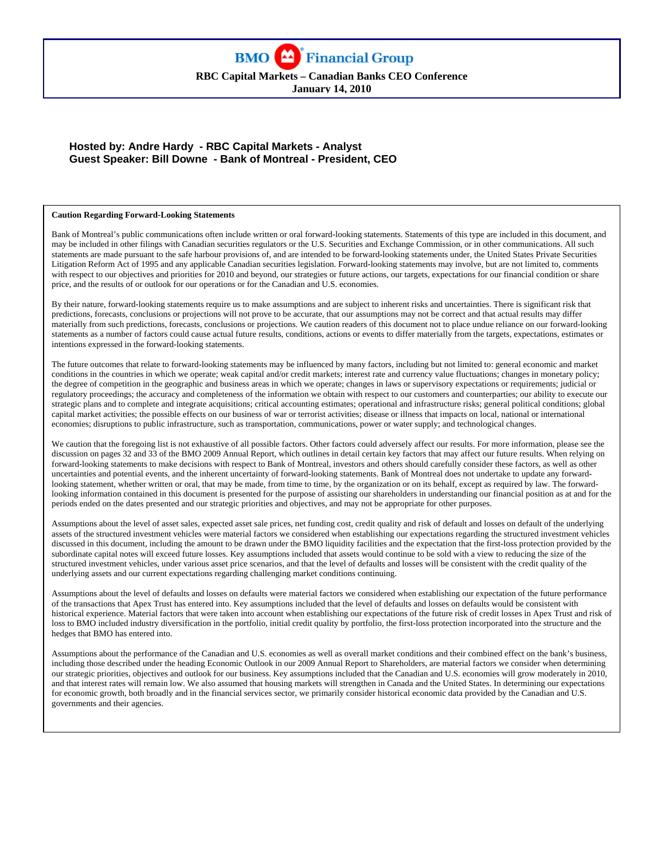**RBC Capital Markets – Canadian Banks CEO Conference** 

**January 14, 2010**

### **Hosted by: Andre Hardy - RBC Capital Markets - Analyst Guest Speaker: Bill Downe - Bank of Montreal - President, CEO**

#### **Caution Regarding Forward-Looking Statements**

Bank of Montreal's public communications often include written or oral forward-looking statements. Statements of this type are included in this document, and may be included in other filings with Canadian securities regulators or the U.S. Securities and Exchange Commission, or in other communications. All such statements are made pursuant to the safe harbour provisions of, and are intended to be forward-looking statements under, the United States Private Securities Litigation Reform Act of 1995 and any applicable Canadian securities legislation. Forward-looking statements may involve, but are not limited to, comments with respect to our objectives and priorities for 2010 and beyond, our strategies or future actions, our targets, expectations for our financial condition or share price, and the results of or outlook for our operations or for the Canadian and U.S. economies.

By their nature, forward-looking statements require us to make assumptions and are subject to inherent risks and uncertainties. There is significant risk that predictions, forecasts, conclusions or projections will not prove to be accurate, that our assumptions may not be correct and that actual results may differ materially from such predictions, forecasts, conclusions or projections. We caution readers of this document not to place undue reliance on our forward-looking statements as a number of factors could cause actual future results, conditions, actions or events to differ materially from the targets, expectations, estimates or intentions expressed in the forward-looking statements.

The future outcomes that relate to forward-looking statements may be influenced by many factors, including but not limited to: general economic and market conditions in the countries in which we operate; weak capital and/or credit markets; interest rate and currency value fluctuations; changes in monetary policy; the degree of competition in the geographic and business areas in which we operate; changes in laws or supervisory expectations or requirements; judicial or regulatory proceedings; the accuracy and completeness of the information we obtain with respect to our customers and counterparties; our ability to execute our strategic plans and to complete and integrate acquisitions; critical accounting estimates; operational and infrastructure risks; general political conditions; global capital market activities; the possible effects on our business of war or terrorist activities; disease or illness that impacts on local, national or international economies; disruptions to public infrastructure, such as transportation, communications, power or water supply; and technological changes.

We caution that the foregoing list is not exhaustive of all possible factors. Other factors could adversely affect our results. For more information, please see the discussion on pages 32 and 33 of the BMO 2009 Annual Report, which outlines in detail certain key factors that may affect our future results. When relying on forward-looking statements to make decisions with respect to Bank of Montreal, investors and others should carefully consider these factors, as well as other uncertainties and potential events, and the inherent uncertainty of forward-looking statements. Bank of Montreal does not undertake to update any forwardlooking statement, whether written or oral, that may be made, from time to time, by the organization or on its behalf, except as required by law. The forwardlooking information contained in this document is presented for the purpose of assisting our shareholders in understanding our financial position as at and for the periods ended on the dates presented and our strategic priorities and objectives, and may not be appropriate for other purposes.

Assumptions about the level of asset sales, expected asset sale prices, net funding cost, credit quality and risk of default and losses on default of the underlying assets of the structured investment vehicles were material factors we considered when establishing our expectations regarding the structured investment vehicles discussed in this document, including the amount to be drawn under the BMO liquidity facilities and the expectation that the first-loss protection provided by the subordinate capital notes will exceed future losses. Key assumptions included that assets would continue to be sold with a view to reducing the size of the structured investment vehicles, under various asset price scenarios, and that the level of defaults and losses will be consistent with the credit quality of the underlying assets and our current expectations regarding challenging market conditions continuing.

Assumptions about the level of defaults and losses on defaults were material factors we considered when establishing our expectation of the future performance of the transactions that Apex Trust has entered into. Key assumptions included that the level of defaults and losses on defaults would be consistent with historical experience. Material factors that were taken into account when establishing our expectations of the future risk of credit losses in Apex Trust and risk of loss to BMO included industry diversification in the portfolio, initial credit quality by portfolio, the first-loss protection incorporated into the structure and the hedges that BMO has entered into.

Assumptions about the performance of the Canadian and U.S. economies as well as overall market conditions and their combined effect on the bank's business, including those described under the heading Economic Outlook in our 2009 Annual Report to Shareholders, are material factors we consider when determining our strategic priorities, objectives and outlook for our business. Key assumptions included that the Canadian and U.S. economies will grow moderately in 2010, and that interest rates will remain low. We also assumed that housing markets will strengthen in Canada and the United States. In determining our expectations for economic growth, both broadly and in the financial services sector, we primarily consider historical economic data provided by the Canadian and U.S. governments and their agencies.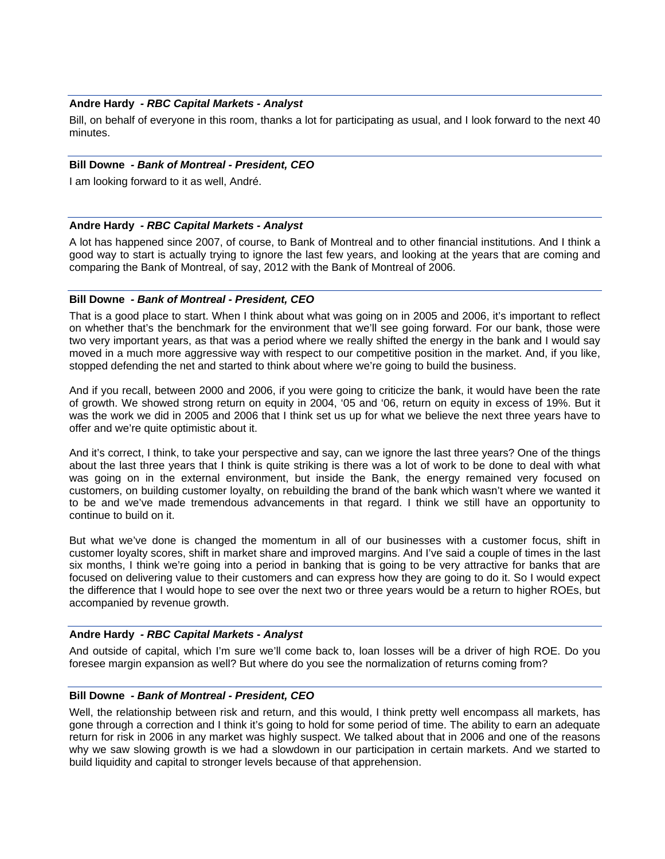### **Andre Hardy** *- RBC Capital Markets - Analyst*

Bill, on behalf of everyone in this room, thanks a lot for participating as usual, and I look forward to the next 40 minutes.

### **Bill Downe** *- Bank of Montreal - President, CEO*

I am looking forward to it as well, André.

#### **Andre Hardy** *- RBC Capital Markets - Analyst*

A lot has happened since 2007, of course, to Bank of Montreal and to other financial institutions. And I think a good way to start is actually trying to ignore the last few years, and looking at the years that are coming and comparing the Bank of Montreal, of say, 2012 with the Bank of Montreal of 2006.

#### **Bill Downe** *- Bank of Montreal - President, CEO*

That is a good place to start. When I think about what was going on in 2005 and 2006, it's important to reflect on whether that's the benchmark for the environment that we'll see going forward. For our bank, those were two very important years, as that was a period where we really shifted the energy in the bank and I would say moved in a much more aggressive way with respect to our competitive position in the market. And, if you like, stopped defending the net and started to think about where we're going to build the business.

And if you recall, between 2000 and 2006, if you were going to criticize the bank, it would have been the rate of growth. We showed strong return on equity in 2004, '05 and '06, return on equity in excess of 19%. But it was the work we did in 2005 and 2006 that I think set us up for what we believe the next three years have to offer and we're quite optimistic about it.

And it's correct, I think, to take your perspective and say, can we ignore the last three years? One of the things about the last three years that I think is quite striking is there was a lot of work to be done to deal with what was going on in the external environment, but inside the Bank, the energy remained very focused on customers, on building customer loyalty, on rebuilding the brand of the bank which wasn't where we wanted it to be and we've made tremendous advancements in that regard. I think we still have an opportunity to continue to build on it.

But what we've done is changed the momentum in all of our businesses with a customer focus, shift in customer loyalty scores, shift in market share and improved margins. And I've said a couple of times in the last six months, I think we're going into a period in banking that is going to be very attractive for banks that are focused on delivering value to their customers and can express how they are going to do it. So I would expect the difference that I would hope to see over the next two or three years would be a return to higher ROEs, but accompanied by revenue growth.

#### **Andre Hardy** *- RBC Capital Markets - Analyst*

And outside of capital, which I'm sure we'll come back to, loan losses will be a driver of high ROE. Do you foresee margin expansion as well? But where do you see the normalization of returns coming from?

#### **Bill Downe** *- Bank of Montreal - President, CEO*

Well, the relationship between risk and return, and this would, I think pretty well encompass all markets, has gone through a correction and I think it's going to hold for some period of time. The ability to earn an adequate return for risk in 2006 in any market was highly suspect. We talked about that in 2006 and one of the reasons why we saw slowing growth is we had a slowdown in our participation in certain markets. And we started to build liquidity and capital to stronger levels because of that apprehension.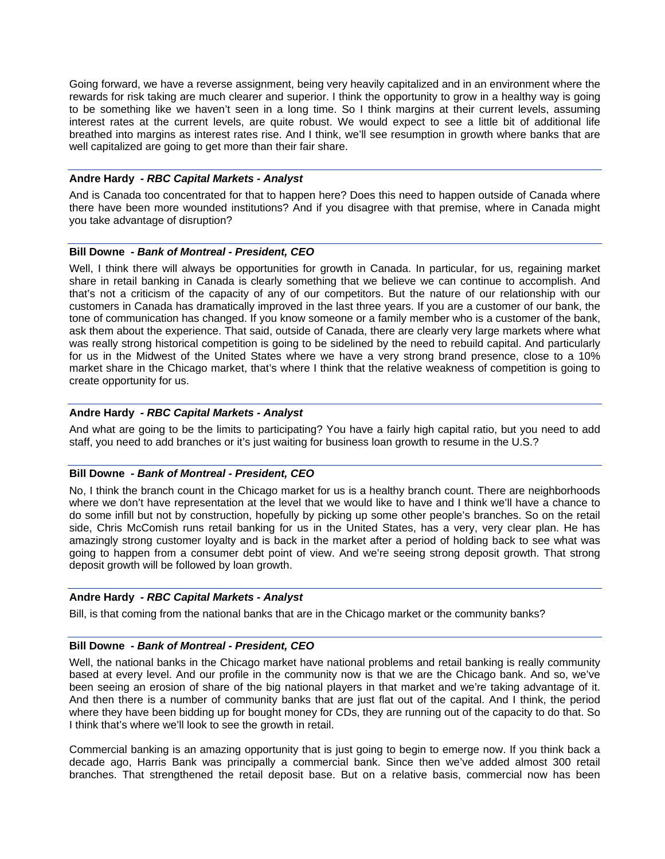Going forward, we have a reverse assignment, being very heavily capitalized and in an environment where the rewards for risk taking are much clearer and superior. I think the opportunity to grow in a healthy way is going to be something like we haven't seen in a long time. So I think margins at their current levels, assuming interest rates at the current levels, are quite robust. We would expect to see a little bit of additional life breathed into margins as interest rates rise. And I think, we'll see resumption in growth where banks that are well capitalized are going to get more than their fair share.

### **Andre Hardy** *- RBC Capital Markets - Analyst*

And is Canada too concentrated for that to happen here? Does this need to happen outside of Canada where there have been more wounded institutions? And if you disagree with that premise, where in Canada might you take advantage of disruption?

### **Bill Downe** *- Bank of Montreal - President, CEO*

Well, I think there will always be opportunities for growth in Canada. In particular, for us, regaining market share in retail banking in Canada is clearly something that we believe we can continue to accomplish. And that's not a criticism of the capacity of any of our competitors. But the nature of our relationship with our customers in Canada has dramatically improved in the last three years. If you are a customer of our bank, the tone of communication has changed. If you know someone or a family member who is a customer of the bank, ask them about the experience. That said, outside of Canada, there are clearly very large markets where what was really strong historical competition is going to be sidelined by the need to rebuild capital. And particularly for us in the Midwest of the United States where we have a very strong brand presence, close to a 10% market share in the Chicago market, that's where I think that the relative weakness of competition is going to create opportunity for us.

### **Andre Hardy** *- RBC Capital Markets - Analyst*

And what are going to be the limits to participating? You have a fairly high capital ratio, but you need to add staff, you need to add branches or it's just waiting for business loan growth to resume in the U.S.?

#### **Bill Downe** *- Bank of Montreal - President, CEO*

No, I think the branch count in the Chicago market for us is a healthy branch count. There are neighborhoods where we don't have representation at the level that we would like to have and I think we'll have a chance to do some infill but not by construction, hopefully by picking up some other people's branches. So on the retail side, Chris McComish runs retail banking for us in the United States, has a very, very clear plan. He has amazingly strong customer loyalty and is back in the market after a period of holding back to see what was going to happen from a consumer debt point of view. And we're seeing strong deposit growth. That strong deposit growth will be followed by loan growth.

## **Andre Hardy** *- RBC Capital Markets - Analyst*

Bill, is that coming from the national banks that are in the Chicago market or the community banks?

#### **Bill Downe** *- Bank of Montreal - President, CEO*

Well, the national banks in the Chicago market have national problems and retail banking is really community based at every level. And our profile in the community now is that we are the Chicago bank. And so, we've been seeing an erosion of share of the big national players in that market and we're taking advantage of it. And then there is a number of community banks that are just flat out of the capital. And I think, the period where they have been bidding up for bought money for CDs, they are running out of the capacity to do that. So I think that's where we'll look to see the growth in retail.

Commercial banking is an amazing opportunity that is just going to begin to emerge now. If you think back a decade ago, Harris Bank was principally a commercial bank. Since then we've added almost 300 retail branches. That strengthened the retail deposit base. But on a relative basis, commercial now has been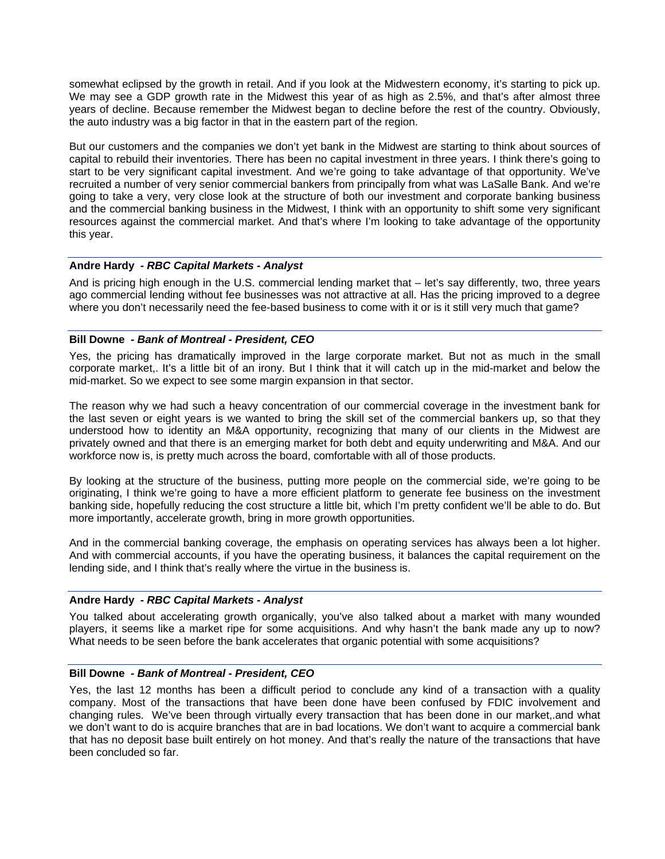somewhat eclipsed by the growth in retail. And if you look at the Midwestern economy, it's starting to pick up. We may see a GDP growth rate in the Midwest this year of as high as 2.5%, and that's after almost three years of decline. Because remember the Midwest began to decline before the rest of the country. Obviously, the auto industry was a big factor in that in the eastern part of the region.

But our customers and the companies we don't yet bank in the Midwest are starting to think about sources of capital to rebuild their inventories. There has been no capital investment in three years. I think there's going to start to be very significant capital investment. And we're going to take advantage of that opportunity. We've recruited a number of very senior commercial bankers from principally from what was LaSalle Bank. And we're going to take a very, very close look at the structure of both our investment and corporate banking business and the commercial banking business in the Midwest, I think with an opportunity to shift some very significant resources against the commercial market. And that's where I'm looking to take advantage of the opportunity this year.

### **Andre Hardy** *- RBC Capital Markets - Analyst*

And is pricing high enough in the U.S. commercial lending market that – let's say differently, two, three years ago commercial lending without fee businesses was not attractive at all. Has the pricing improved to a degree where you don't necessarily need the fee-based business to come with it or is it still very much that game?

### **Bill Downe** *- Bank of Montreal - President, CEO*

Yes, the pricing has dramatically improved in the large corporate market. But not as much in the small corporate market,. It's a little bit of an irony. But I think that it will catch up in the mid-market and below the mid-market. So we expect to see some margin expansion in that sector.

The reason why we had such a heavy concentration of our commercial coverage in the investment bank for the last seven or eight years is we wanted to bring the skill set of the commercial bankers up, so that they understood how to identity an M&A opportunity, recognizing that many of our clients in the Midwest are privately owned and that there is an emerging market for both debt and equity underwriting and M&A. And our workforce now is, is pretty much across the board, comfortable with all of those products.

By looking at the structure of the business, putting more people on the commercial side, we're going to be originating, I think we're going to have a more efficient platform to generate fee business on the investment banking side, hopefully reducing the cost structure a little bit, which I'm pretty confident we'll be able to do. But more importantly, accelerate growth, bring in more growth opportunities.

And in the commercial banking coverage, the emphasis on operating services has always been a lot higher. And with commercial accounts, if you have the operating business, it balances the capital requirement on the lending side, and I think that's really where the virtue in the business is.

#### **Andre Hardy** *- RBC Capital Markets - Analyst*

You talked about accelerating growth organically, you've also talked about a market with many wounded players, it seems like a market ripe for some acquisitions. And why hasn't the bank made any up to now? What needs to be seen before the bank accelerates that organic potential with some acquisitions?

#### **Bill Downe** *- Bank of Montreal - President, CEO*

Yes, the last 12 months has been a difficult period to conclude any kind of a transaction with a quality company. Most of the transactions that have been done have been confused by FDIC involvement and changing rules. We've been through virtually every transaction that has been done in our market,.and what we don't want to do is acquire branches that are in bad locations. We don't want to acquire a commercial bank that has no deposit base built entirely on hot money. And that's really the nature of the transactions that have been concluded so far.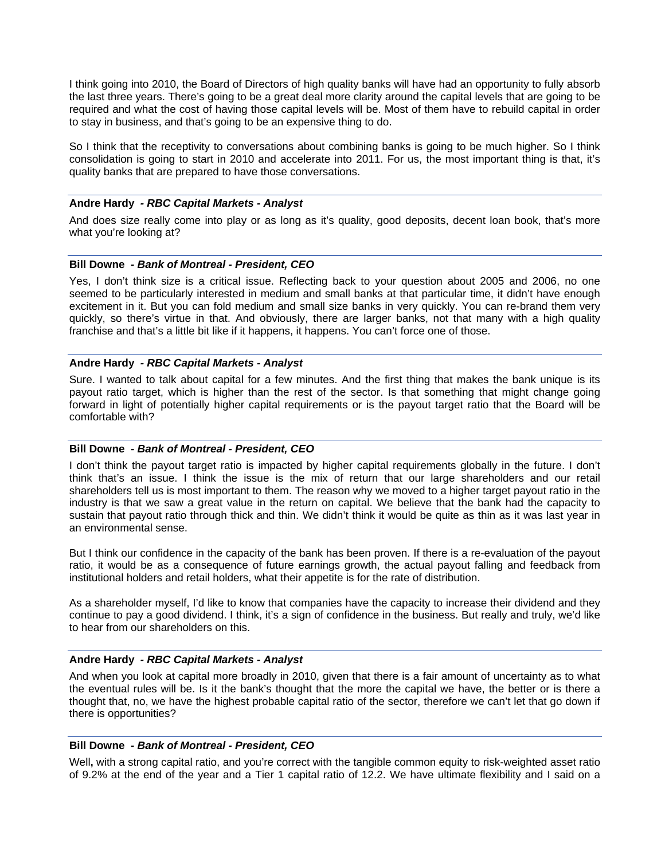I think going into 2010, the Board of Directors of high quality banks will have had an opportunity to fully absorb the last three years. There's going to be a great deal more clarity around the capital levels that are going to be required and what the cost of having those capital levels will be. Most of them have to rebuild capital in order to stay in business, and that's going to be an expensive thing to do.

So I think that the receptivity to conversations about combining banks is going to be much higher. So I think consolidation is going to start in 2010 and accelerate into 2011. For us, the most important thing is that, it's quality banks that are prepared to have those conversations.

### **Andre Hardy** *- RBC Capital Markets - Analyst*

And does size really come into play or as long as it's quality, good deposits, decent loan book, that's more what you're looking at?

# **Bill Downe** *- Bank of Montreal - President, CEO*

Yes, I don't think size is a critical issue. Reflecting back to your question about 2005 and 2006, no one seemed to be particularly interested in medium and small banks at that particular time, it didn't have enough excitement in it. But you can fold medium and small size banks in very quickly. You can re-brand them very quickly, so there's virtue in that. And obviously, there are larger banks, not that many with a high quality franchise and that's a little bit like if it happens, it happens. You can't force one of those.

### **Andre Hardy** *- RBC Capital Markets - Analyst*

Sure. I wanted to talk about capital for a few minutes. And the first thing that makes the bank unique is its payout ratio target, which is higher than the rest of the sector. Is that something that might change going forward in light of potentially higher capital requirements or is the payout target ratio that the Board will be comfortable with?

#### **Bill Downe** *- Bank of Montreal - President, CEO*

I don't think the payout target ratio is impacted by higher capital requirements globally in the future. I don't think that's an issue. I think the issue is the mix of return that our large shareholders and our retail shareholders tell us is most important to them. The reason why we moved to a higher target payout ratio in the industry is that we saw a great value in the return on capital. We believe that the bank had the capacity to sustain that payout ratio through thick and thin. We didn't think it would be quite as thin as it was last year in an environmental sense.

But I think our confidence in the capacity of the bank has been proven. If there is a re-evaluation of the payout ratio, it would be as a consequence of future earnings growth, the actual payout falling and feedback from institutional holders and retail holders, what their appetite is for the rate of distribution.

As a shareholder myself, I'd like to know that companies have the capacity to increase their dividend and they continue to pay a good dividend. I think, it's a sign of confidence in the business. But really and truly, we'd like to hear from our shareholders on this.

## **Andre Hardy** *- RBC Capital Markets - Analyst*

And when you look at capital more broadly in 2010, given that there is a fair amount of uncertainty as to what the eventual rules will be. Is it the bank's thought that the more the capital we have, the better or is there a thought that, no, we have the highest probable capital ratio of the sector, therefore we can't let that go down if there is opportunities?

### **Bill Downe** *- Bank of Montreal - President, CEO*

Well**,** with a strong capital ratio, and you're correct with the tangible common equity to risk-weighted asset ratio of 9.2% at the end of the year and a Tier 1 capital ratio of 12.2. We have ultimate flexibility and I said on a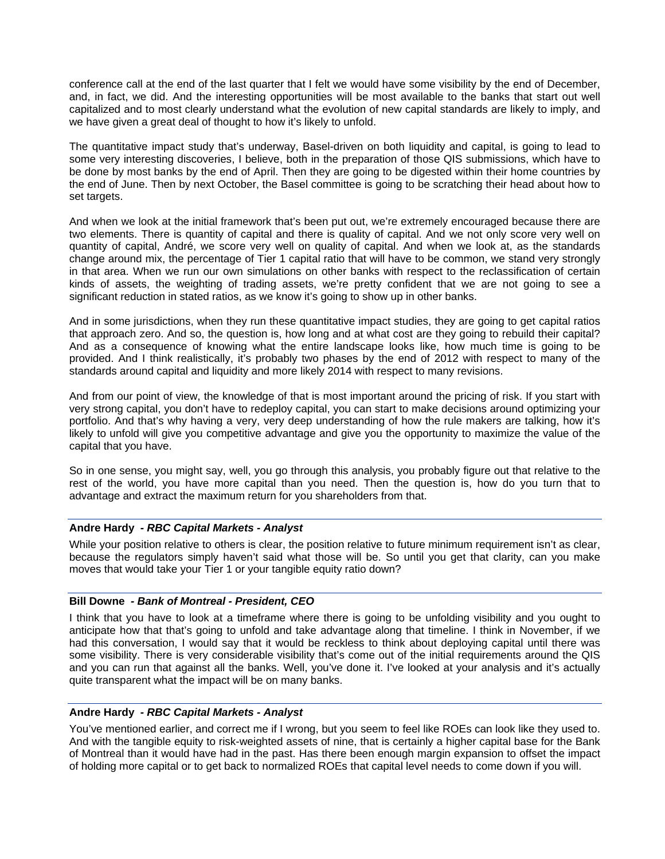conference call at the end of the last quarter that I felt we would have some visibility by the end of December, and, in fact, we did. And the interesting opportunities will be most available to the banks that start out well capitalized and to most clearly understand what the evolution of new capital standards are likely to imply, and we have given a great deal of thought to how it's likely to unfold.

The quantitative impact study that's underway, Basel-driven on both liquidity and capital, is going to lead to some very interesting discoveries, I believe, both in the preparation of those QIS submissions, which have to be done by most banks by the end of April. Then they are going to be digested within their home countries by the end of June. Then by next October, the Basel committee is going to be scratching their head about how to set targets.

And when we look at the initial framework that's been put out, we're extremely encouraged because there are two elements. There is quantity of capital and there is quality of capital. And we not only score very well on quantity of capital, André, we score very well on quality of capital. And when we look at, as the standards change around mix, the percentage of Tier 1 capital ratio that will have to be common, we stand very strongly in that area. When we run our own simulations on other banks with respect to the reclassification of certain kinds of assets, the weighting of trading assets, we're pretty confident that we are not going to see a significant reduction in stated ratios, as we know it's going to show up in other banks.

And in some jurisdictions, when they run these quantitative impact studies, they are going to get capital ratios that approach zero. And so, the question is, how long and at what cost are they going to rebuild their capital? And as a consequence of knowing what the entire landscape looks like, how much time is going to be provided. And I think realistically, it's probably two phases by the end of 2012 with respect to many of the standards around capital and liquidity and more likely 2014 with respect to many revisions.

And from our point of view, the knowledge of that is most important around the pricing of risk. If you start with very strong capital, you don't have to redeploy capital, you can start to make decisions around optimizing your portfolio. And that's why having a very, very deep understanding of how the rule makers are talking, how it's likely to unfold will give you competitive advantage and give you the opportunity to maximize the value of the capital that you have.

So in one sense, you might say, well, you go through this analysis, you probably figure out that relative to the rest of the world, you have more capital than you need. Then the question is, how do you turn that to advantage and extract the maximum return for you shareholders from that.

#### **Andre Hardy** *- RBC Capital Markets - Analyst*

While your position relative to others is clear, the position relative to future minimum requirement isn't as clear, because the regulators simply haven't said what those will be. So until you get that clarity, can you make moves that would take your Tier 1 or your tangible equity ratio down?

#### **Bill Downe** *- Bank of Montreal - President, CEO*

I think that you have to look at a timeframe where there is going to be unfolding visibility and you ought to anticipate how that that's going to unfold and take advantage along that timeline. I think in November, if we had this conversation, I would say that it would be reckless to think about deploying capital until there was some visibility. There is very considerable visibility that's come out of the initial requirements around the QIS and you can run that against all the banks. Well, you've done it. I've looked at your analysis and it's actually quite transparent what the impact will be on many banks.

#### **Andre Hardy** *- RBC Capital Markets - Analyst*

You've mentioned earlier, and correct me if I wrong, but you seem to feel like ROEs can look like they used to. And with the tangible equity to risk-weighted assets of nine, that is certainly a higher capital base for the Bank of Montreal than it would have had in the past. Has there been enough margin expansion to offset the impact of holding more capital or to get back to normalized ROEs that capital level needs to come down if you will.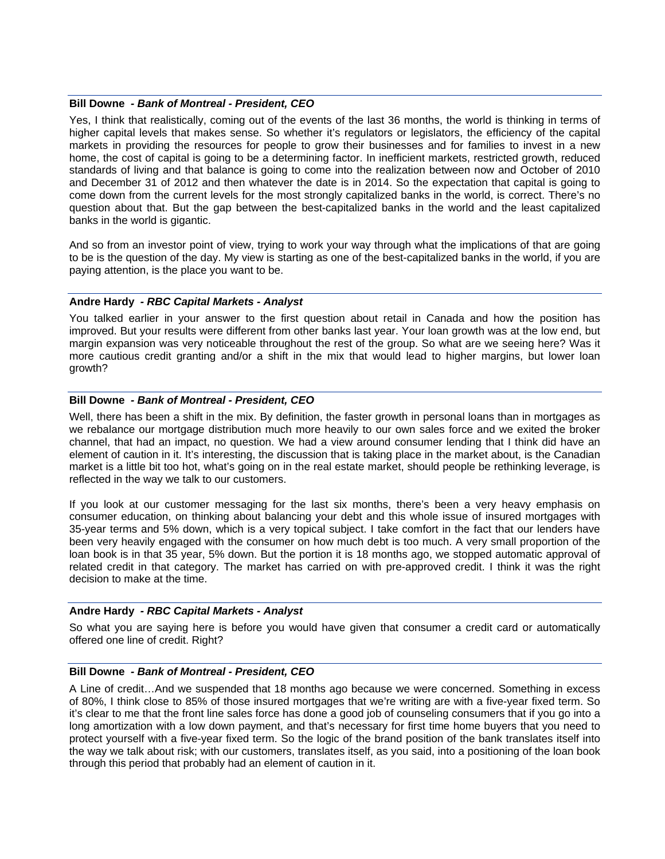#### **Bill Downe** *- Bank of Montreal - President, CEO*

Yes, I think that realistically, coming out of the events of the last 36 months, the world is thinking in terms of higher capital levels that makes sense. So whether it's regulators or legislators, the efficiency of the capital markets in providing the resources for people to grow their businesses and for families to invest in a new home, the cost of capital is going to be a determining factor. In inefficient markets, restricted growth, reduced standards of living and that balance is going to come into the realization between now and October of 2010 and December 31 of 2012 and then whatever the date is in 2014. So the expectation that capital is going to come down from the current levels for the most strongly capitalized banks in the world, is correct. There's no question about that. But the gap between the best-capitalized banks in the world and the least capitalized banks in the world is gigantic.

And so from an investor point of view, trying to work your way through what the implications of that are going to be is the question of the day. My view is starting as one of the best-capitalized banks in the world, if you are paying attention, is the place you want to be.

#### **Andre Hardy** *- RBC Capital Markets - Analyst*

You talked earlier in your answer to the first question about retail in Canada and how the position has improved. But your results were different from other banks last year. Your loan growth was at the low end, but margin expansion was very noticeable throughout the rest of the group. So what are we seeing here? Was it more cautious credit granting and/or a shift in the mix that would lead to higher margins, but lower loan growth?

#### **Bill Downe** *- Bank of Montreal - President, CEO*

Well, there has been a shift in the mix. By definition, the faster growth in personal loans than in mortgages as we rebalance our mortgage distribution much more heavily to our own sales force and we exited the broker channel, that had an impact, no question. We had a view around consumer lending that I think did have an element of caution in it. It's interesting, the discussion that is taking place in the market about, is the Canadian market is a little bit too hot, what's going on in the real estate market, should people be rethinking leverage, is reflected in the way we talk to our customers.

If you look at our customer messaging for the last six months, there's been a very heavy emphasis on consumer education, on thinking about balancing your debt and this whole issue of insured mortgages with 35-year terms and 5% down, which is a very topical subject. I take comfort in the fact that our lenders have been very heavily engaged with the consumer on how much debt is too much. A very small proportion of the loan book is in that 35 year, 5% down. But the portion it is 18 months ago, we stopped automatic approval of related credit in that category. The market has carried on with pre-approved credit. I think it was the right decision to make at the time.

#### **Andre Hardy** *- RBC Capital Markets - Analyst*

So what you are saying here is before you would have given that consumer a credit card or automatically offered one line of credit. Right?

#### **Bill Downe** *- Bank of Montreal - President, CEO*

A Line of credit…And we suspended that 18 months ago because we were concerned. Something in excess of 80%, I think close to 85% of those insured mortgages that we're writing are with a five-year fixed term. So it's clear to me that the front line sales force has done a good job of counseling consumers that if you go into a long amortization with a low down payment, and that's necessary for first time home buyers that you need to protect yourself with a five-year fixed term. So the logic of the brand position of the bank translates itself into the way we talk about risk; with our customers, translates itself, as you said, into a positioning of the loan book through this period that probably had an element of caution in it.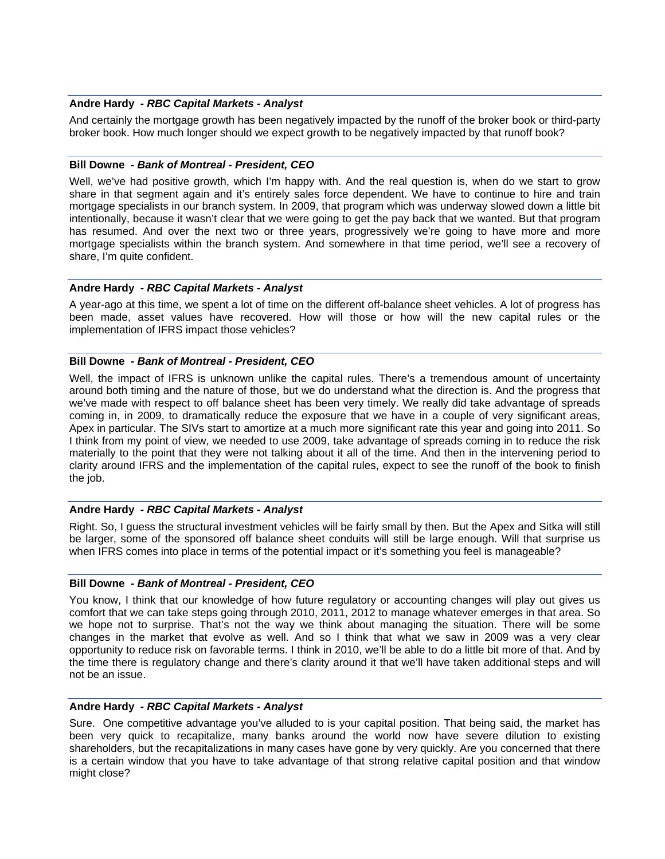### **Andre Hardy** *- RBC Capital Markets - Analyst*

And certainly the mortgage growth has been negatively impacted by the runoff of the broker book or third-party broker book. How much longer should we expect growth to be negatively impacted by that runoff book?

### **Bill Downe** *- Bank of Montreal - President, CEO*

Well, we've had positive growth, which I'm happy with. And the real question is, when do we start to grow share in that segment again and it's entirely sales force dependent. We have to continue to hire and train mortgage specialists in our branch system. In 2009, that program which was underway slowed down a little bit intentionally, because it wasn't clear that we were going to get the pay back that we wanted. But that program has resumed. And over the next two or three years, progressively we're going to have more and more mortgage specialists within the branch system. And somewhere in that time period, we'll see a recovery of share, I'm quite confident.

### **Andre Hardy** *- RBC Capital Markets - Analyst*

A year-ago at this time, we spent a lot of time on the different off-balance sheet vehicles. A lot of progress has been made, asset values have recovered. How will those or how will the new capital rules or the implementation of IFRS impact those vehicles?

### **Bill Downe** *- Bank of Montreal - President, CEO*

Well, the impact of IFRS is unknown unlike the capital rules. There's a tremendous amount of uncertainty around both timing and the nature of those, but we do understand what the direction is. And the progress that we've made with respect to off balance sheet has been very timely. We really did take advantage of spreads coming in, in 2009, to dramatically reduce the exposure that we have in a couple of very significant areas, Apex in particular. The SIVs start to amortize at a much more significant rate this year and going into 2011. So I think from my point of view, we needed to use 2009, take advantage of spreads coming in to reduce the risk materially to the point that they were not talking about it all of the time. And then in the intervening period to clarity around IFRS and the implementation of the capital rules, expect to see the runoff of the book to finish the job.

#### **Andre Hardy** *- RBC Capital Markets - Analyst*

Right. So, I guess the structural investment vehicles will be fairly small by then. But the Apex and Sitka will still be larger, some of the sponsored off balance sheet conduits will still be large enough. Will that surprise us when IFRS comes into place in terms of the potential impact or it's something you feel is manageable?

#### **Bill Downe** *- Bank of Montreal - President, CEO*

You know, I think that our knowledge of how future regulatory or accounting changes will play out gives us comfort that we can take steps going through 2010, 2011, 2012 to manage whatever emerges in that area. So we hope not to surprise. That's not the way we think about managing the situation. There will be some changes in the market that evolve as well. And so I think that what we saw in 2009 was a very clear opportunity to reduce risk on favorable terms. I think in 2010, we'll be able to do a little bit more of that. And by the time there is regulatory change and there's clarity around it that we'll have taken additional steps and will not be an issue.

## **Andre Hardy** *- RBC Capital Markets - Analyst*

Sure. One competitive advantage you've alluded to is your capital position. That being said, the market has been very quick to recapitalize, many banks around the world now have severe dilution to existing shareholders, but the recapitalizations in many cases have gone by very quickly. Are you concerned that there is a certain window that you have to take advantage of that strong relative capital position and that window might close?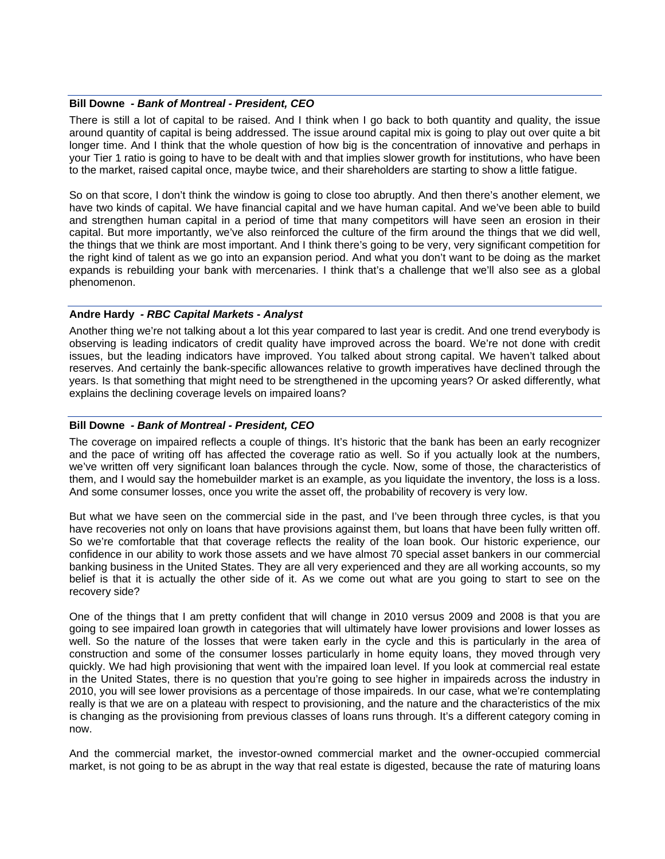#### **Bill Downe** *- Bank of Montreal - President, CEO*

There is still a lot of capital to be raised. And I think when I go back to both quantity and quality, the issue around quantity of capital is being addressed. The issue around capital mix is going to play out over quite a bit longer time. And I think that the whole question of how big is the concentration of innovative and perhaps in your Tier 1 ratio is going to have to be dealt with and that implies slower growth for institutions, who have been to the market, raised capital once, maybe twice, and their shareholders are starting to show a little fatigue.

So on that score, I don't think the window is going to close too abruptly. And then there's another element, we have two kinds of capital. We have financial capital and we have human capital. And we've been able to build and strengthen human capital in a period of time that many competitors will have seen an erosion in their capital. But more importantly, we've also reinforced the culture of the firm around the things that we did well, the things that we think are most important. And I think there's going to be very, very significant competition for the right kind of talent as we go into an expansion period. And what you don't want to be doing as the market expands is rebuilding your bank with mercenaries. I think that's a challenge that we'll also see as a global phenomenon.

#### **Andre Hardy** *- RBC Capital Markets - Analyst*

Another thing we're not talking about a lot this year compared to last year is credit. And one trend everybody is observing is leading indicators of credit quality have improved across the board. We're not done with credit issues, but the leading indicators have improved. You talked about strong capital. We haven't talked about reserves. And certainly the bank-specific allowances relative to growth imperatives have declined through the years. Is that something that might need to be strengthened in the upcoming years? Or asked differently, what explains the declining coverage levels on impaired loans?

#### **Bill Downe** *- Bank of Montreal - President, CEO*

The coverage on impaired reflects a couple of things. It's historic that the bank has been an early recognizer and the pace of writing off has affected the coverage ratio as well. So if you actually look at the numbers, we've written off very significant loan balances through the cycle. Now, some of those, the characteristics of them, and I would say the homebuilder market is an example, as you liquidate the inventory, the loss is a loss. And some consumer losses, once you write the asset off, the probability of recovery is very low.

But what we have seen on the commercial side in the past, and I've been through three cycles, is that you have recoveries not only on loans that have provisions against them, but loans that have been fully written off. So we're comfortable that that coverage reflects the reality of the loan book. Our historic experience, our confidence in our ability to work those assets and we have almost 70 special asset bankers in our commercial banking business in the United States. They are all very experienced and they are all working accounts, so my belief is that it is actually the other side of it. As we come out what are you going to start to see on the recovery side?

One of the things that I am pretty confident that will change in 2010 versus 2009 and 2008 is that you are going to see impaired loan growth in categories that will ultimately have lower provisions and lower losses as well. So the nature of the losses that were taken early in the cycle and this is particularly in the area of construction and some of the consumer losses particularly in home equity loans, they moved through very quickly. We had high provisioning that went with the impaired loan level. If you look at commercial real estate in the United States, there is no question that you're going to see higher in impaireds across the industry in 2010, you will see lower provisions as a percentage of those impaireds. In our case, what we're contemplating really is that we are on a plateau with respect to provisioning, and the nature and the characteristics of the mix is changing as the provisioning from previous classes of loans runs through. It's a different category coming in now.

And the commercial market, the investor-owned commercial market and the owner-occupied commercial market, is not going to be as abrupt in the way that real estate is digested, because the rate of maturing loans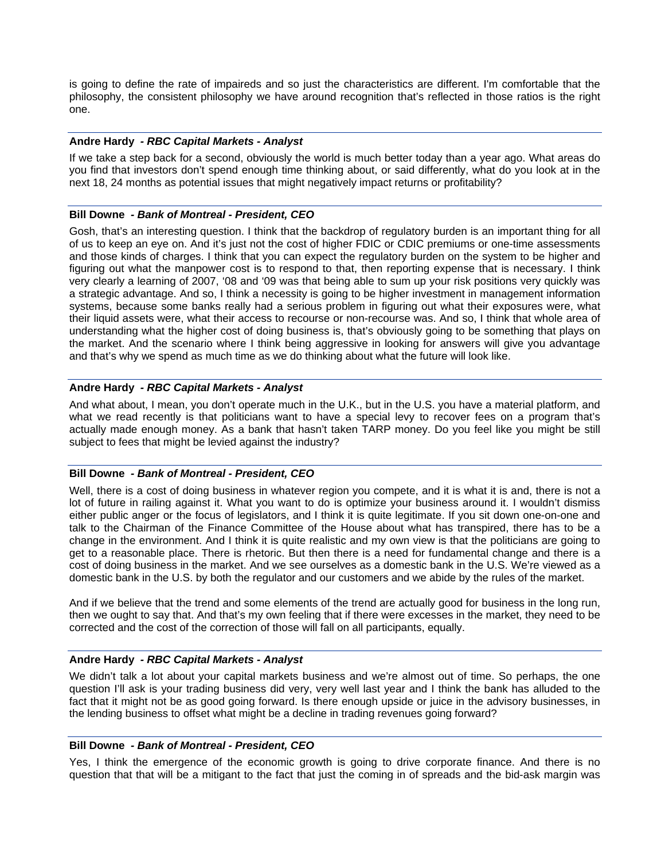is going to define the rate of impaireds and so just the characteristics are different. I'm comfortable that the philosophy, the consistent philosophy we have around recognition that's reflected in those ratios is the right one.

### **Andre Hardy** *- RBC Capital Markets - Analyst*

If we take a step back for a second, obviously the world is much better today than a year ago. What areas do you find that investors don't spend enough time thinking about, or said differently, what do you look at in the next 18, 24 months as potential issues that might negatively impact returns or profitability?

#### **Bill Downe** *- Bank of Montreal - President, CEO*

Gosh, that's an interesting question. I think that the backdrop of regulatory burden is an important thing for all of us to keep an eye on. And it's just not the cost of higher FDIC or CDIC premiums or one-time assessments and those kinds of charges. I think that you can expect the regulatory burden on the system to be higher and figuring out what the manpower cost is to respond to that, then reporting expense that is necessary. I think very clearly a learning of 2007, '08 and '09 was that being able to sum up your risk positions very quickly was a strategic advantage. And so, I think a necessity is going to be higher investment in management information systems, because some banks really had a serious problem in figuring out what their exposures were, what their liquid assets were, what their access to recourse or non-recourse was. And so, I think that whole area of understanding what the higher cost of doing business is, that's obviously going to be something that plays on the market. And the scenario where I think being aggressive in looking for answers will give you advantage and that's why we spend as much time as we do thinking about what the future will look like.

### **Andre Hardy** *- RBC Capital Markets - Analyst*

And what about, I mean, you don't operate much in the U.K., but in the U.S. you have a material platform, and what we read recently is that politicians want to have a special levy to recover fees on a program that's actually made enough money. As a bank that hasn't taken TARP money. Do you feel like you might be still subject to fees that might be levied against the industry?

#### **Bill Downe** *- Bank of Montreal - President, CEO*

Well, there is a cost of doing business in whatever region you compete, and it is what it is and, there is not a lot of future in railing against it. What you want to do is optimize your business around it. I wouldn't dismiss either public anger or the focus of legislators, and I think it is quite legitimate. If you sit down one-on-one and talk to the Chairman of the Finance Committee of the House about what has transpired, there has to be a change in the environment. And I think it is quite realistic and my own view is that the politicians are going to get to a reasonable place. There is rhetoric. But then there is a need for fundamental change and there is a cost of doing business in the market. And we see ourselves as a domestic bank in the U.S. We're viewed as a domestic bank in the U.S. by both the regulator and our customers and we abide by the rules of the market.

And if we believe that the trend and some elements of the trend are actually good for business in the long run, then we ought to say that. And that's my own feeling that if there were excesses in the market, they need to be corrected and the cost of the correction of those will fall on all participants, equally.

#### **Andre Hardy** *- RBC Capital Markets - Analyst*

We didn't talk a lot about your capital markets business and we're almost out of time. So perhaps, the one question I'll ask is your trading business did very, very well last year and I think the bank has alluded to the fact that it might not be as good going forward. Is there enough upside or juice in the advisory businesses, in the lending business to offset what might be a decline in trading revenues going forward?

### **Bill Downe** *- Bank of Montreal - President, CEO*

Yes, I think the emergence of the economic growth is going to drive corporate finance. And there is no question that that will be a mitigant to the fact that just the coming in of spreads and the bid-ask margin was